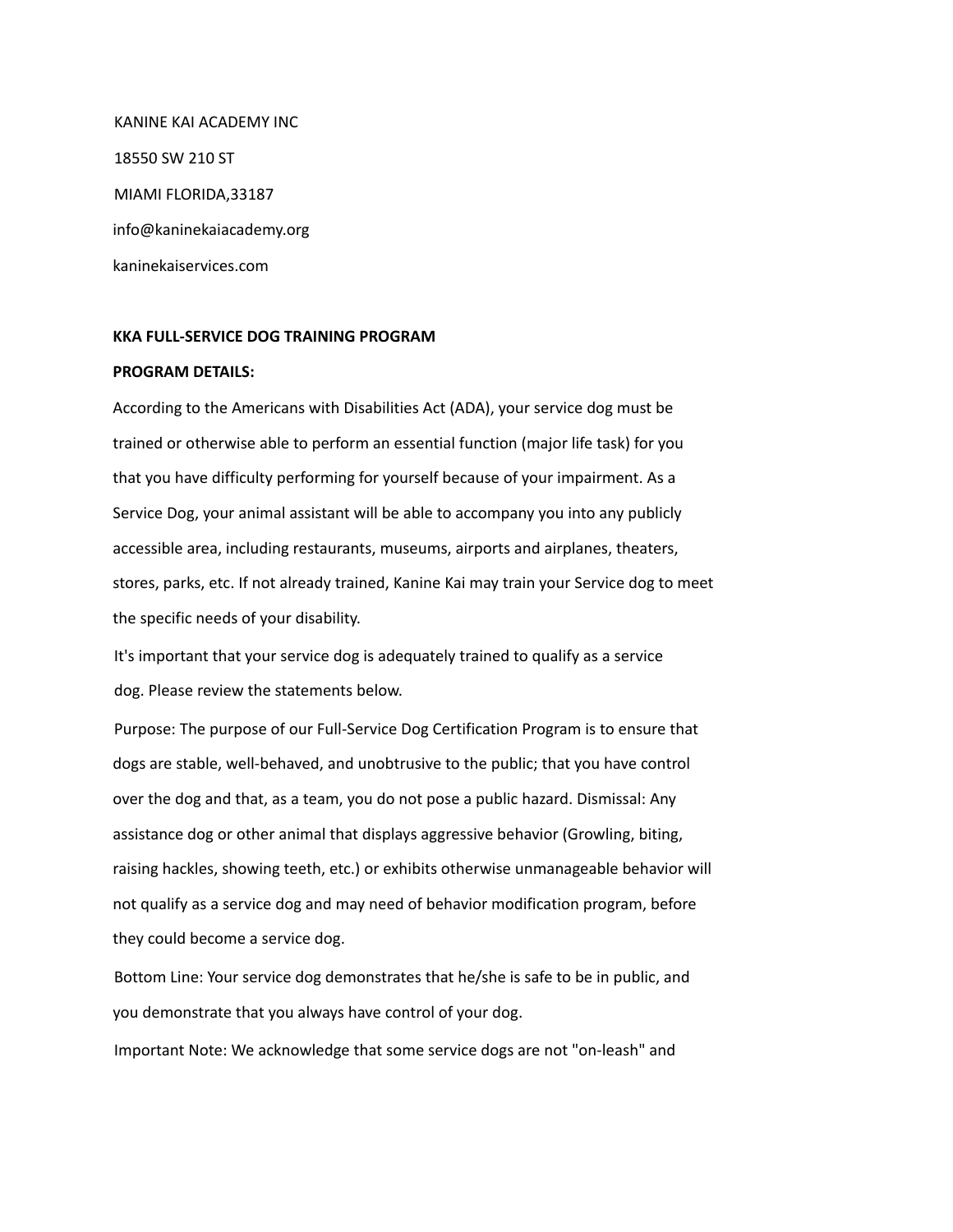KANINE KAI ACADEMY INC 18550 SW 210 ST MIAMI FLORIDA,33187 info@kaninekaiacademy.org kaninekaiservices.com

## **KKA FULL-SERVICE DOG TRAINING PROGRAM**

## **PROGRAM DETAILS:**

According to the Americans with Disabilities Act (ADA), your service dog must be trained or otherwise able to perform an essential function (major life task) for you that you have difficulty performing for yourself because of your impairment. As a Service Dog, your animal assistant will be able to accompany you into any publicly accessible area, including restaurants, museums, airports and airplanes, theaters, stores, parks, etc. If not already trained, Kanine Kai may train your Service dog to meet the specific needs of your disability.

It's important that your service dog is adequately trained to qualify as a service dog. Please review the statements below.

Purpose: The purpose of our Full-Service Dog Certification Program is to ensure that dogs are stable, well-behaved, and unobtrusive to the public; that you have control over the dog and that, as a team, you do not pose a public hazard. Dismissal: Any assistance dog or other animal that displays aggressive behavior (Growling, biting, raising hackles, showing teeth, etc.) or exhibits otherwise unmanageable behavior will not qualify as a service dog and may need of behavior modification program, before they could become a service dog.

Bottom Line: Your service dog demonstrates that he/she is safe to be in public, and you demonstrate that you always have control of your dog.

Important Note: We acknowledge that some service dogs are not "on-leash" and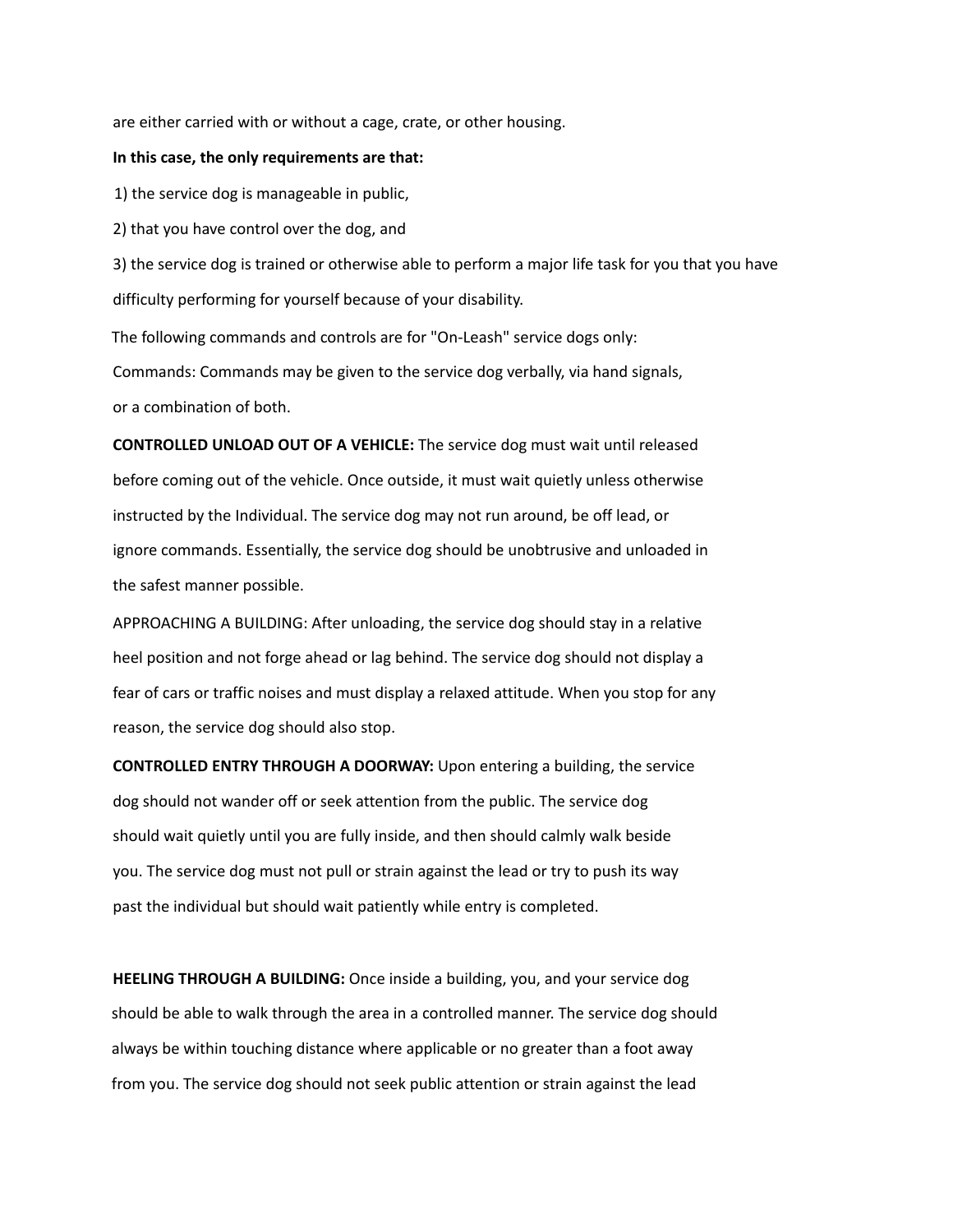are either carried with or without a cage, crate, or other housing.

## **In this case, the only requirements are that:**

1) the service dog is manageable in public,

2) that you have control over the dog, and

3) the service dog is trained or otherwise able to perform a major life task for you that you have difficulty performing for yourself because of your disability.

The following commands and controls are for "On-Leash" service dogs only: Commands: Commands may be given to the service dog verbally, via hand signals, or a combination of both.

**CONTROLLED UNLOAD OUT OF A VEHICLE:** The service dog must wait until released before coming out of the vehicle. Once outside, it must wait quietly unless otherwise instructed by the Individual. The service dog may not run around, be off lead, or ignore commands. Essentially, the service dog should be unobtrusive and unloaded in the safest manner possible.

APPROACHING A BUILDING: After unloading, the service dog should stay in a relative heel position and not forge ahead or lag behind. The service dog should not display a fear of cars or traffic noises and must display a relaxed attitude. When you stop for any reason, the service dog should also stop.

**CONTROLLED ENTRY THROUGH A DOORWAY:** Upon entering a building, the service dog should not wander off or seek attention from the public. The service dog should wait quietly until you are fully inside, and then should calmly walk beside you. The service dog must not pull or strain against the lead or try to push its way past the individual but should wait patiently while entry is completed.

**HEELING THROUGH A BUILDING:** Once inside a building, you, and your service dog should be able to walk through the area in a controlled manner. The service dog should always be within touching distance where applicable or no greater than a foot away from you. The service dog should not seek public attention or strain against the lead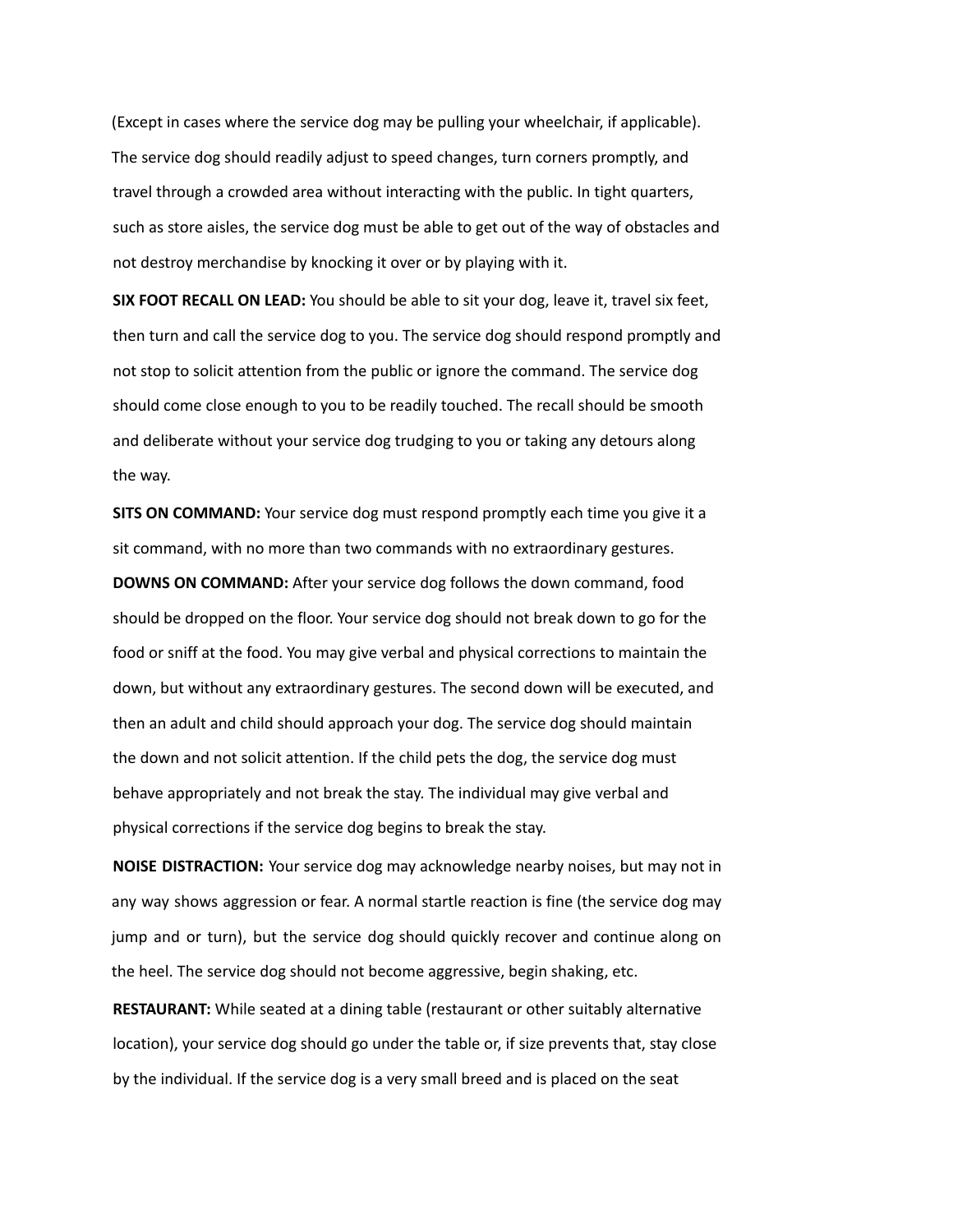(Except in cases where the service dog may be pulling your wheelchair, if applicable). The service dog should readily adjust to speed changes, turn corners promptly, and travel through a crowded area without interacting with the public. In tight quarters, such as store aisles, the service dog must be able to get out of the way of obstacles and not destroy merchandise by knocking it over or by playing with it.

**SIX FOOT RECALL ON LEAD:** You should be able to sit your dog, leave it, travel six feet, then turn and call the service dog to you. The service dog should respond promptly and not stop to solicit attention from the public or ignore the command. The service dog should come close enough to you to be readily touched. The recall should be smooth and deliberate without your service dog trudging to you or taking any detours along the way.

**SITS ON COMMAND:** Your service dog must respond promptly each time you give it a sit command, with no more than two commands with no extraordinary gestures. **DOWNS ON COMMAND:** After your service dog follows the down command, food should be dropped on the floor. Your service dog should not break down to go for the food or sniff at the food. You may give verbal and physical corrections to maintain the down, but without any extraordinary gestures. The second down will be executed, and then an adult and child should approach your dog. The service dog should maintain the down and not solicit attention. If the child pets the dog, the service dog must behave appropriately and not break the stay. The individual may give verbal and physical corrections if the service dog begins to break the stay.

**NOISE DISTRACTION:** Your service dog may acknowledge nearby noises, but may not in any way shows aggression or fear. A normal startle reaction is fine (the service dog may jump and or turn), but the service dog should quickly recover and continue along on the heel. The service dog should not become aggressive, begin shaking, etc.

**RESTAURANT:** While seated at a dining table (restaurant or other suitably alternative location), your service dog should go under the table or, if size prevents that, stay close by the individual. If the service dog is a very small breed and is placed on the seat